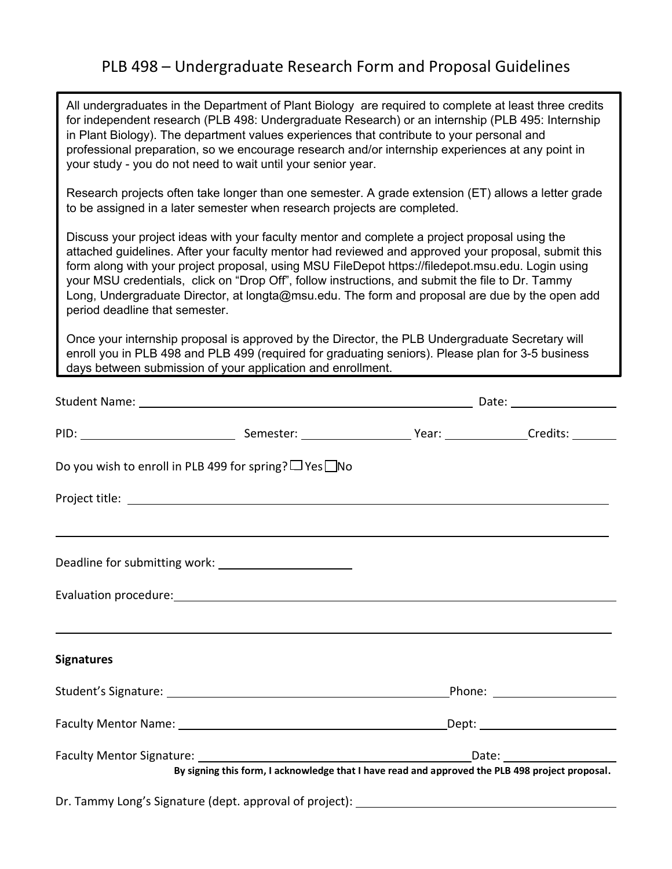# PLB 498 – Undergraduate Research Form and Proposal Guidelines

All undergraduates in the Department of Plant Biology are required to complete at least three credits for independent research (PLB 498: Undergraduate Research) or an internship (PLB 495: Internship in Plant Biology). The department values experiences that contribute to your personal and professional preparation, so we encourage research and/or internship experiences at any point in your study - you do not need to wait until your senior year.

Research projects often take longer than one semester. A grade extension (ET) allows a letter grade to be assigned in a later semester when research projects are completed.

Discuss your project ideas with your faculty mentor and complete a project proposal using the attached guidelines. After your faculty mentor had reviewed and approved your proposal, submit this form along with your project proposal, using MSU FileDepot https://filedepot.msu.edu. Login using your MSU credentials, click on "Drop Off", follow instructions, and submit the file to Dr. Tammy Long, Undergraduate Director, at longta@msu.edu. The form and proposal are due by the open add period deadline that semester.

Once your internship proposal is approved by the Director, the PLB Undergraduate Secretary will enroll you in PLB 498 and PLB 499 (required for graduating seniors). Please plan for 3-5 business days between submission of your application and enrollment.

|                   | Do you wish to enroll in PLB 499 for spring? $\Box$ Yes $\Box$ No                |                                                                                                 |  |  |
|-------------------|----------------------------------------------------------------------------------|-------------------------------------------------------------------------------------------------|--|--|
|                   |                                                                                  |                                                                                                 |  |  |
|                   | ,我们也不会有什么?""我们的人,我们也不会有什么?""我们的人,我们也不会有什么?""我们的人,我们也不会有什么?""我们的人,我们也不会有什么?""我们的人 |                                                                                                 |  |  |
|                   |                                                                                  |                                                                                                 |  |  |
| <b>Signatures</b> | ,我们也不会有什么?""我们的人,我们也不会有什么?""我们的人,我们也不会有什么?""我们的人,我们也不会有什么?""我们的人,我们也不会有什么?""我们的人 |                                                                                                 |  |  |
|                   |                                                                                  |                                                                                                 |  |  |
|                   |                                                                                  |                                                                                                 |  |  |
|                   |                                                                                  | By signing this form, I acknowledge that I have read and approved the PLB 498 project proposal. |  |  |
|                   | Dr. Tammy Long's Signature (dept. approval of project): ________________________ |                                                                                                 |  |  |